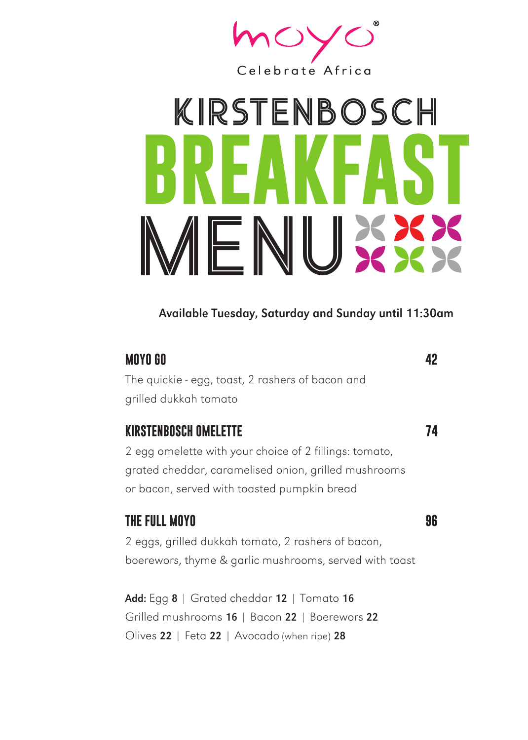

## k irstenbosch **BREAKFAST** MENU

#### Available Tuesday, Saturday and Sunday until 11:30am

#### **MOYO GO 42**

The quickie - egg, toast, 2 rashers of bacon and grilled dukkah tomato

#### **KIRSTENBOSCH OMELETTE 74**

2 egg omelette with your choice of 2 fillings: tomato, grated cheddar, caramelised onion, grilled mushrooms or bacon, served with toasted pumpkin bread

#### **THE FULL MOYO 96**

2 eggs, grilled dukkah tomato, 2 rashers of bacon, boerewors, thyme & garlic mushrooms, served with toast

Add: Egg 8 | Grated cheddar 12 | Tomato 16 Grilled mushrooms 16 | Bacon 22 | Boerewors 22 Olives 22 | Feta 22 | Avocado (when ripe) 28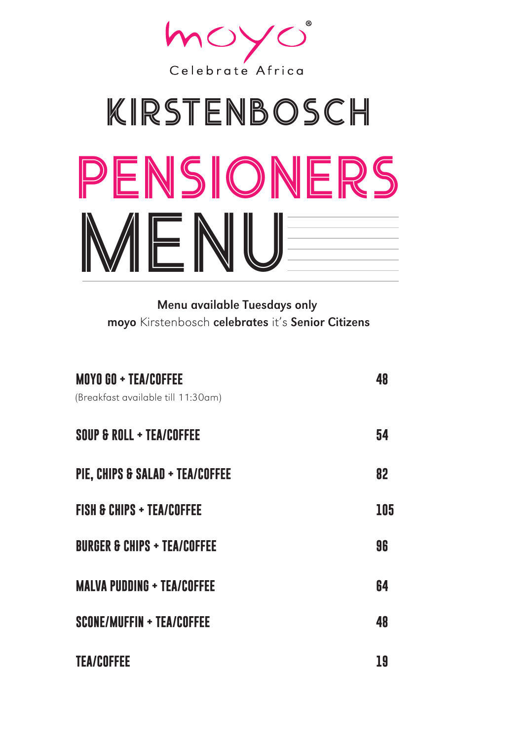

## pensioners k irstenbosch MENU

Menu available Tuesdays only moyo Kirstenbosch celebrates it's Senior Citizens

| <b>MOYO GO + TEA/COFFEE</b><br>(Breakfast available till 11:30am) | 48  |
|-------------------------------------------------------------------|-----|
| SOUP & ROLL + TEA/COFFEE                                          | 54  |
| PIE, CHIPS & SALAD + TEA/COFFEE                                   | 82  |
| <b>FISH &amp; CHIPS + TEA/COFFEE</b>                              | 105 |
| <b>BURGER &amp; CHIPS + TEA/COFFEE</b>                            | 96  |
| <b>MALVA PUDDING + TEA/COFFEE</b>                                 | 64  |
| <b>SCONE/MUFFIN + TEA/COFFEE</b>                                  | 48  |
| <b>TEA/COFFEE</b>                                                 | 19  |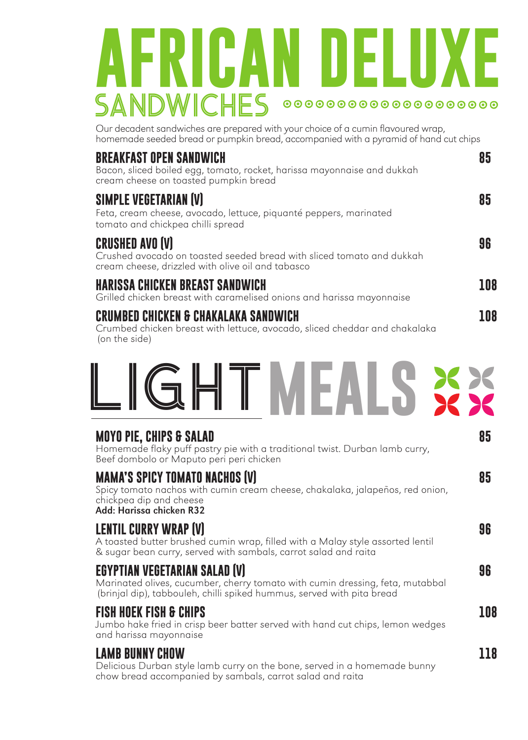### **AFRICAN DELUXE** SANDW ICHES 00000000000000000000

Our decadent sandwiches are prepared with your choice of a cumin flavoured wrap, homemade seeded bread or pumpkin bread, accompanied with a pyramid of hand cut chips

| <b>BREAKFAST OPEN SANDWICH</b><br>Bacon, sliced boiled egg, tomato, rocket, harissa mayonnaise and dukkah<br>cream cheese on toasted pumpkin bread   | 85  |
|------------------------------------------------------------------------------------------------------------------------------------------------------|-----|
| <b>SIMPLE VEGETARIAN (V)</b><br>Feta, cream cheese, avocado, lettuce, piquanté peppers, marinated<br>tomato and chickpea chilli spread               | 85  |
| <b>CRUSHED AVO (V)</b><br>Crushed avocado on toasted seeded bread with sliced tomato and dukkah<br>cream cheese, drizzled with olive oil and tabasco | 96  |
| <b>HARISSA CHICKEN BREAST SANDWICH</b><br>Grilled chicken breast with caramelised onions and harissa mayonnaise                                      | 108 |
| CRUMBED CHICKEN & CHAKALAKA SANDWICH<br>Crumbod objekan broast with lettuce, gyogado, elisod shoddar and shakalaka                                   | 108 |

Crumbed chicken breast with lettuce, avocado, sliced cheddar and chakalaka (on the side)



#### **MOYO PIE, CHIPS & SALAD 85**

Homemade flaky puff pastry pie with a traditional twist. Durban lamb curry, Beef dombolo or Maputo peri peri chicken

#### **MAMA'S SPICY TOMATO NACHOS (V) 85**

Spicy tomato nachos with cumin cream cheese, chakalaka, jalapeños, red onion, chickpea dip and cheese Add: Harissa chicken R32

#### **LENTIL CURRY WRAP (V) 96**

A toasted butter brushed cumin wrap, filled with a Malay style assorted lentil & sugar bean curry, served with sambals, carrot salad and raita

#### **EGYPTIAN VEGETARIAN SALAD (V) 96**

Marinated olives, cucumber, cherry tomato with cumin dressing, feta, mutabbal (brinjal dip), tabbouleh, chilli spiked hummus, served with pita bread

#### **FISH HOEK FISH & CHIPS 108**

Jumbo hake fried in crisp beer batter served with hand cut chips, lemon wedges and harissa mayonnaise

#### **LAMB BUNNY CHOW 118**

Delicious Durban style lamb curry on the bone, served in a homemade bunny chow bread accompanied by sambals, carrot salad and raita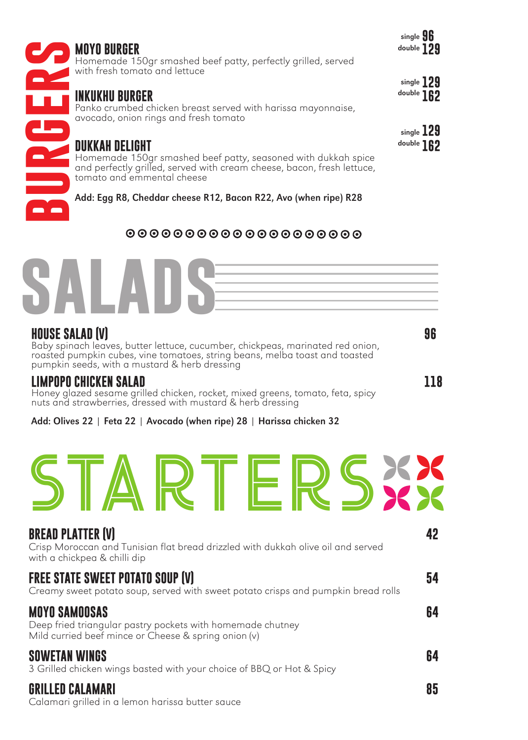| <b>MOYO BURGER</b><br>Homemade 150gr smashed beef patty, perfectly grilled, served<br>with fresh tomato and lettuce                                                                                                                      | single <b>96</b><br>double 129 |
|------------------------------------------------------------------------------------------------------------------------------------------------------------------------------------------------------------------------------------------|--------------------------------|
| INKUKHU BURGER<br>Panko crumbed chicken breast served with harissa mayonnaise,<br>avocado, onion rings and fresh tomato                                                                                                                  | single $129$<br>double 162     |
| <b>DUKKAH DELIGHT</b><br>Homemade 150gr smashed beef patty, seasoned with dukkah spice<br>and perfectly grilled, served with cream cheese, bacon, fresh lettuce,<br>tomato and emmental cheese                                           | single $129$<br>double 162     |
| Add: Egg R8, Cheddar cheese R12, Bacon R22, Avo (when ripe) R28                                                                                                                                                                          |                                |
| 00000000000000000000                                                                                                                                                                                                                     |                                |
| $\overline{\phantom{a}}$                                                                                                                                                                                                                 |                                |
| <b>HOUSE SALAD (V)</b><br>Baby spinach leaves, butter lettuce, cucumber, chickpeas, marinated red onion,<br>roasted pumpkin cubes, vine tomatoes, string beans, melba toast and toasted<br>pumpkin seeds, with a mustard & herb dressing | 96                             |
| LIMPOPO CHICKEN SALAD<br>Honey glazed sesame grilled chicken, rocket, mixed greens, tomato, feta, spicy<br>nuts and strawberries, dressed with mustard & herb dressing                                                                   | 118                            |
| Add: Olives 22   Feta 22   Avocado (when ripe) 28   Harissa chicken 32                                                                                                                                                                   |                                |

single **96** 



#### **HOUSE SALAD (V) 96**

#### **LIMPOPO CHICKEN SALAD 118**

| NRTERSXX                                                                                                                                     |    |
|----------------------------------------------------------------------------------------------------------------------------------------------|----|
| <b>BREAD PLATTER (V)</b><br>Crisp Moroccan and Tunisian flat bread drizzled with dukkah olive oil and served<br>with a chickpea & chilli dip | 42 |
| <b>FREE STATE SWEET POTATO SOUP (V)</b><br>Creamy sweet potato soup, served with sweet potato crisps and pumpkin bread rolls                 | 54 |
| <b>MOYO SAMOOSAS</b><br>Deep fried triangular pastry pockets with homemade chutney<br>Mild curried beef mince or Cheese & spring onion $(v)$ | 64 |
| <b>SOWETAN WINGS</b><br>3 Grilled chicken wings basted with your choice of BBQ or Hot & Spicy                                                | 64 |
| <b>GRILLED CALAMARI</b>                                                                                                                      | 85 |

Calamari grilled in a lemon harissa butter sauce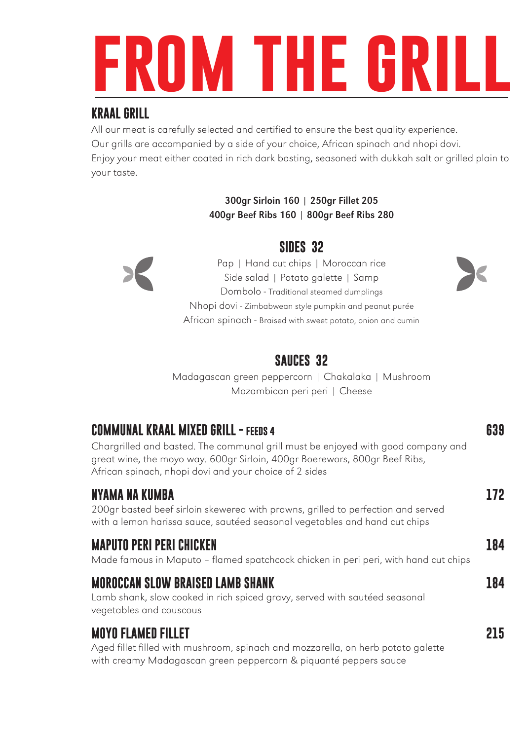# **from the grill**

#### **KRAAL GRILL**

All our meat is carefully selected and certified to ensure the best quality experience. Our grills are accompanied by a side of your choice, African spinach and nhopi dovi. Enjoy your meat either coated in rich dark basting, seasoned with dukkah salt or grilled plain to your taste.

#### 300gr Sirloin 160 | 250gr Fillet 205 400gr Beef Ribs 160 | 800gr Beef Ribs 280



Pap | Hand cut chips | Moroccan rice Side salad | Potato galette | Samp Dombolo - Traditional steamed dumplings Nhopi dovi - Zimbabwean style pumpkin and peanut purée African spinach - Braised with sweet potato, onion and cumin



Madagascan green peppercorn | Chakalaka | Mushroom Mozambican peri peri | Cheese

#### **COMMUNAL KRAAL MIXED GRILL - FEEDS 4 639**

Chargrilled and basted. The communal grill must be enjoyed with good company and great wine, the moyo way. 600gr Sirloin, 400gr Boerewors, 800gr Beef Ribs, African spinach, nhopi dovi and your choice of 2 sides

#### **NYAMA NA KUMBA 172**

200gr basted beef sirloin skewered with prawns, grilled to perfection and served with a lemon harissa sauce, sautéed seasonal vegetables and hand cut chips

#### **MAPUTO PERI PERI CHICKEN 184**

Made famous in Maputo – flamed spatchcock chicken in peri peri, with hand cut chips

#### **MOROCCAN SLOW BRAISED LAMB SHANK 184**

Lamb shank, slow cooked in rich spiced gravy, served with sautéed seasonal vegetables and couscous

#### **MOYO FLAMED FILLET 215**

Aged fillet filled with mushroom, spinach and mozzarella, on herb potato galette with creamy Madagascan green peppercorn & piquanté peppers sauce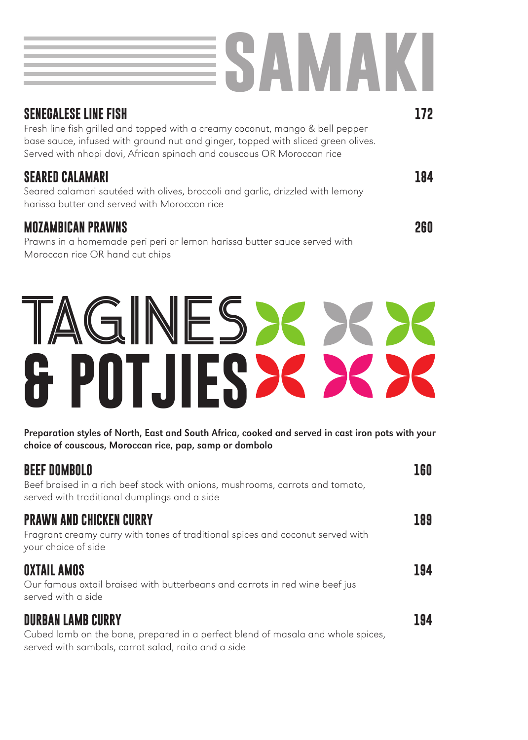# **samaki**

| <b>SENEGALESE LINE FISH</b>                                                                                                                                                                                                                | 172 |
|--------------------------------------------------------------------------------------------------------------------------------------------------------------------------------------------------------------------------------------------|-----|
| Fresh line fish grilled and topped with a creamy coconut, mango & bell pepper<br>base sauce, infused with ground nut and ginger, topped with sliced green olives.<br>Served with nhopi dovi, African spinach and couscous OR Moroccan rice |     |
| SEARED CALAMARI<br>Seared calamari sautéed with olives, broccoli and garlic, drizzled with lemony<br>harissa butter and served with Moroccan rice                                                                                          | 184 |
| <b>MOZAMBICAN PRAWNS</b><br>Prawns in a homemade peri peri or lemon harissa butter sauce served with                                                                                                                                       | 26N |

Moroccan rice OR hand cut chips

## TAGINES >< >< >< **& POTJIES**

Preparation styles of North, East and South Africa, cooked and served in cast iron pots with your choice of couscous, Moroccan rice, pap, samp or dombolo

| <b>BEEF DOMBOLO</b><br>Beef braised in a rich beef stock with onions, mushrooms, carrots and tomato,<br>served with traditional dumplings and a side               | LGO |
|--------------------------------------------------------------------------------------------------------------------------------------------------------------------|-----|
| <b>PRAWN AND CHICKEN CURRY</b><br>Fragrant creamy curry with tones of traditional spices and coconut served with<br>your choice of side                            | 189 |
| <b>OXTAIL AMOS</b><br>Our famous oxtail braised with butterbeans and carrots in red wine beef jus<br>served with a side                                            | 194 |
| <b>DURBAN LAMB CURRY</b><br>Cubed lamb on the bone, prepared in a perfect blend of masala and whole spices,<br>served with sambals, carrot salad, raita and a side | 194 |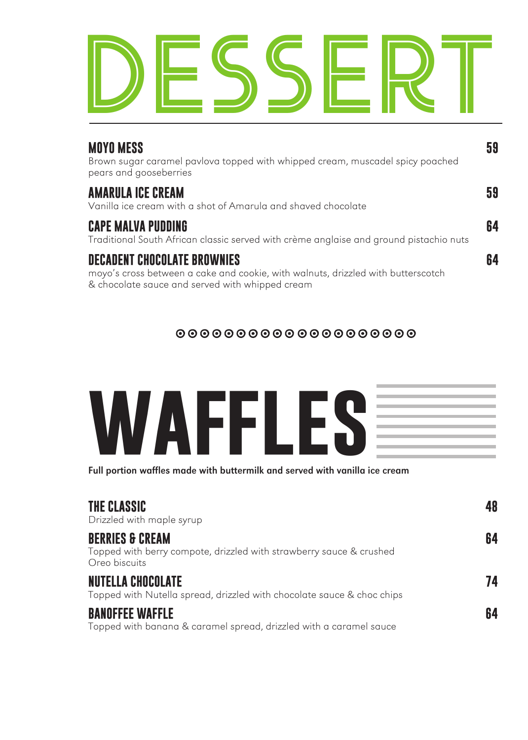

| <b>MOYO MESS</b><br>Brown sugar caramel pavlova topped with whipped cream, muscadel spicy poached<br>pears and gooseberries                                               | 59 |
|---------------------------------------------------------------------------------------------------------------------------------------------------------------------------|----|
| <b>AMARULA ICE CREAM</b><br>Vanilla ice cream with a shot of Amarula and shaved chocolate                                                                                 | 59 |
| <b>CAPE MALVA PUDDING</b><br>Traditional South African classic served with crème anglaise and ground pistachio nuts                                                       | 64 |
| <b>DECADENT CHOCOLATE BROWNIES</b><br>moyo's cross between a cake and cookie, with walnuts, drizzled with butterscotch<br>& chocolate sauce and served with whipped cream | 64 |

#### 00000000000000000000

| V)<br>V<br>M.<br><b>Service Service</b><br>1 V | ٠<br>.,<br>Am l | <u>a shekara t</u> |  |
|------------------------------------------------|-----------------|--------------------|--|
|                                                |                 |                    |  |

Full portion waffles made with buttermilk and served with vanilla ice cream

| THE CLASSIC<br>Drizzled with maple syrup                                                                           | 48 |
|--------------------------------------------------------------------------------------------------------------------|----|
| <b>BERRIES &amp; CREAM</b><br>Topped with berry compote, drizzled with strawberry sauce & crushed<br>Oreo biscuits | 64 |
| <b>NUTELLA CHOCOLATE</b><br>Topped with Nutella spread, drizzled with chocolate sauce & choc chips                 | 74 |
| <b>BANOFFEE WAFFLE</b><br>Topped with banana & caramel spread, drizzled with a caramel sauce                       | 64 |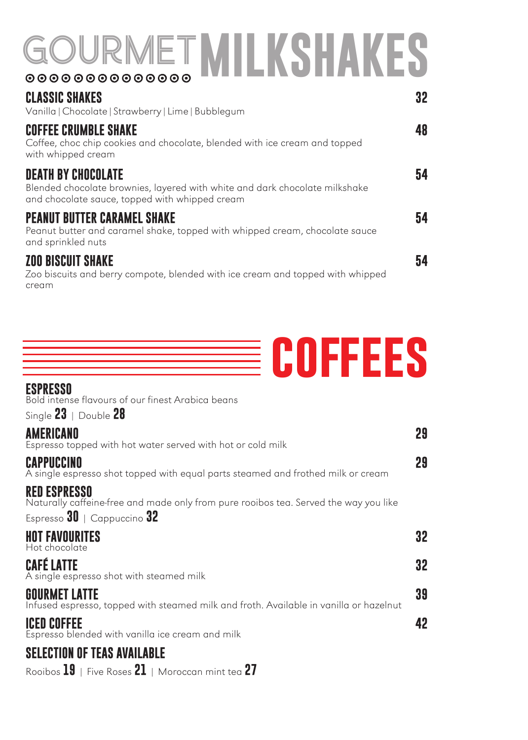## GOURMET **MILKSHAKES**

| <b>CLASSIC SHAKES</b><br>Vanilla   Chocolate   Strawberry   Lime   Bubblegum                                                                               | 32 |
|------------------------------------------------------------------------------------------------------------------------------------------------------------|----|
| <b>COFFEE CRUMBLE SHAKE</b><br>Coffee, choc chip cookies and chocolate, blended with ice cream and topped<br>with whipped cream                            | 48 |
| <b>DEATH BY CHOCOLATE</b><br>Blended chocolate brownies, layered with white and dark chocolate milkshake<br>and chocolate sauce, topped with whipped cream | 54 |
| <b>PEANUT BUTTER CARAMEL SHAKE</b><br>Peanut butter and caramel shake, topped with whipped cream, chocolate sauce<br>and sprinkled nuts                    | 54 |
| <b>ZOO BISCUIT SHAKE</b><br>Zoo biscuits and berry compote, blended with ice cream and topped with whipped<br>cream                                        | 54 |



#### **ESPRESSO**

Bold intense flavours of our finest Arabica beans

Single **23** | Double **28**

| <b>AMERICANO</b><br>Espresso topped with hot water served with hot or cold milk                                | 29 |
|----------------------------------------------------------------------------------------------------------------|----|
| CAPPUCCINO<br>A single espresso shot topped with equal parts steamed and frothed milk or cream                 | 29 |
| <b>RED ESPRESSO</b><br>Naturally caffeine-free and made only from pure rooibos tea. Served the way you like    |    |
| Espresso $30$   Cappuccino $32$                                                                                |    |
| <b>HOT FAVOURITES</b><br>Hot chocolate                                                                         | 32 |
| <b>CAFÉ LATTE</b><br>A single espresso shot with steamed milk                                                  | 32 |
| <b>GOURMET LATTE</b><br>Infused espresso, topped with steamed milk and froth. Available in vanilla or hazelnut | 39 |
| <b>ICED COFFEE</b><br>Espresso blended with vanilla ice cream and milk                                         | 42 |
| <b>SELECTION OF TEAS AVAILABLE</b>                                                                             |    |
| Rooibos $19$   Five Roses $21$   Moroccan mint tea $27$                                                        |    |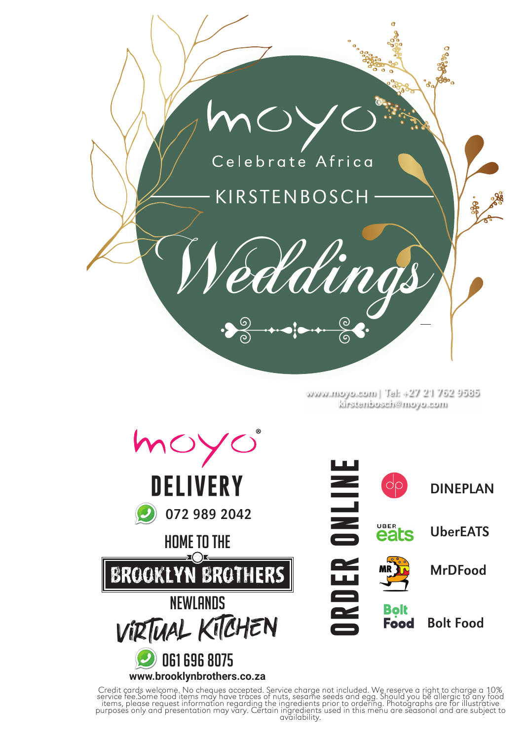

www.moyo.com| Tel: +27 21 762 9585 kirstenbosch@moyo.com



Credit cards welcome. No cheques accepted. Service charge not included. We reserve a right to charge a 10% service fee.Some food items may have traces of nuts, sesame seeds and egg. Should you be allergic to any food items, please request information regarding the ingredients prior to ordering. Photographs are for illustrative purposes only and presentation may vary. Certain ingredients used in this menu are seasonal and are subject to<br>availability.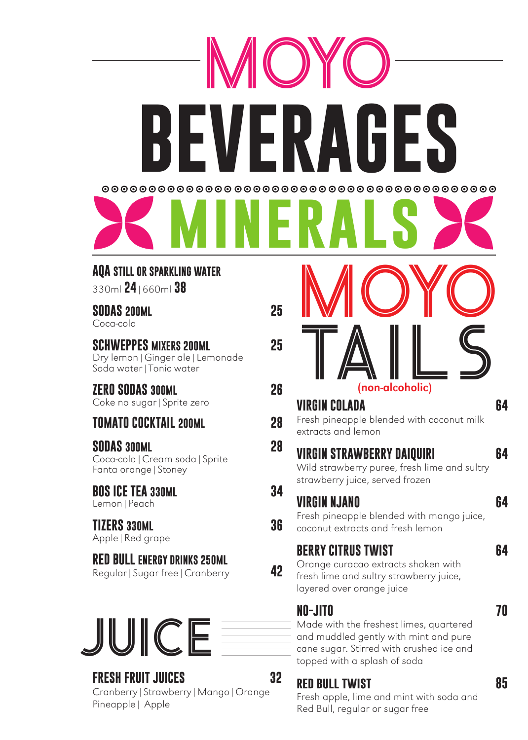

#### **AQA STILL OR SPARKLING WATER**

330ml **24**|660ml **38**

### **SODAS 200ML 25**

Coca-cola

#### **SCHWEPPES MIXERS 200ML 25**

Dry lemon|Ginger ale|Lemonade Soda water|Tonic water

#### **ZERO SODAS 300ML 26**

Coke no sugar|Sprite zero

#### **TOMATO COCKTAIL 200ML 28**

**SODAS 300ML 28** Coca-cola|Cream soda|Sprite Fanta orange|Stoney

#### **BOS ICE TEA 330ML 34**

Lemon|Peach

**TIZERS 330ML 36** Apple|Red grape

### **RED BULL ENERGY DRINKS 250ML**

Regular|Sugar free|Cranberry **42**



#### **FRESH FRUIT JUICES 32**

Cranberry|Strawberry|Mango|Orange Pineapple| Apple

| (non-alcoholic)<br>VIRGIN COLADA<br>Fresh pineapple blended with coconut milk<br>extracts and lemon                                                                     | 64 |
|-------------------------------------------------------------------------------------------------------------------------------------------------------------------------|----|
| <b>VIRGIN STRAWBERRY DAIQUIRI</b><br>Wild strawberry puree, fresh lime and sultry<br>strawberry juice, served frozen                                                    | 64 |
| VIRGIN NJANO<br>Fresh pineapple blended with mango juice,<br>coconut extracts and fresh lemon                                                                           | 64 |
| <b>BERRY CITRUS TWIST</b><br>Orange curacao extracts shaken with<br>fresh lime and sultry strawberry juice,<br>layered over orange juice                                | 64 |
| NO-JITO<br>Made with the freshest limes, quartered<br>and muddled gently with mint and pure<br>cane sugar. Stirred with crushed ice and<br>topped with a splash of soda | 70 |
| RED BULL TWIST                                                                                                                                                          | 85 |

Fresh apple, lime and mint with soda and Red Bull, regular or sugar free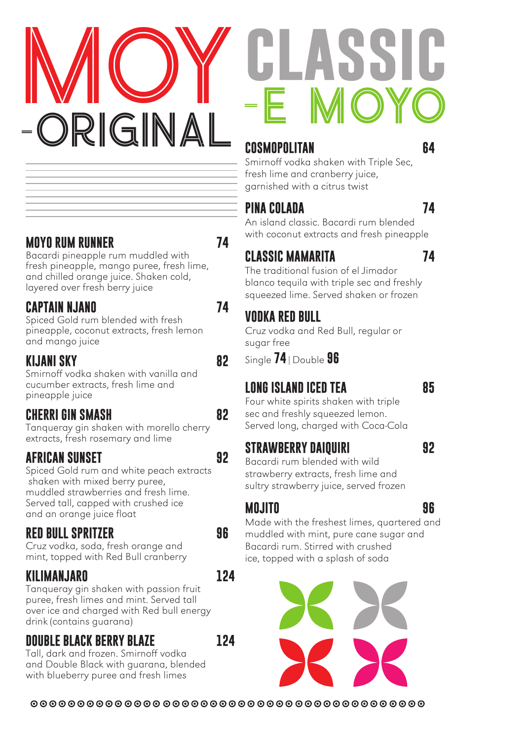

| CLASSIC |  |
|---------|--|
| -E MOYO |  |

#### **COSMOPOLITAN 64**

Smirnoff vodka shaken with Triple Sec, fresh lime and cranberry juice, garnished with a citrus twist

#### **PINA COLADA 74**

An island classic. Bacardi rum blended with coconut extracts and fresh pineapple

### **CLASSIC MAMARITA 74**

The traditional fusion of el Jimador blanco tequila with triple sec and freshly squeezed lime. Served shaken or frozen

### **VODKA RED BULL**

Cruz vodka and Red Bull, regular or sugar free

Single **74**|Double **96**

#### **LONG ISLAND ICED TEA 85**

Four white spirits shaken with triple sec and freshly squeezed lemon. Served long, charged with Coca-Cola

#### **STRAWBERRY DAIQUIRI 92**

Bacardi rum blended with wild strawberry extracts, fresh lime and sultry strawberry juice, served frozen

#### **MOJITO 96**

Made with the freshest limes, quartered and muddled with mint, pure cane sugar and Bacardi rum. Stirred with crushed ice, topped with a splash of soda



### **MOYO RUM RUNNER 74**

Bacardi pineapple rum muddled with fresh pineapple, mango puree, fresh lime, and chilled orange juice. Shaken cold, layered over fresh berry juice

#### **CAPTAIN NJANO 74**

Spiced Gold rum blended with fresh pineapple, coconut extracts, fresh lemon and mango juice

#### **KIJANI SKY 82**

Smirnoff vodka shaken with vanilla and cucumber extracts, fresh lime and pineapple juice

#### **CHERRI GIN SMASH 82**

Tanqueray gin shaken with morello cherry extracts, fresh rosemary and lime

#### **AFRICAN SUNSET 92**

Spiced Gold rum and white peach extracts shaken with mixed berry puree, muddled strawberries and fresh lime. Served tall, capped with crushed ice and an orange juice float

#### **RED BULL SPRITZER 96**

Cruz vodka, soda, fresh orange and mint, topped with Red Bull cranberry

#### **KILIMANJARO 124**

Tanqueray gin shaken with passion fruit puree, fresh limes and mint. Served tall over ice and charged with Red bull energy drink (contains guarana)

#### **DOUBLE BLACK BERRY BLAZE 124**

Tall, dark and frozen. Smirnoff vodka and Double Black with guarana, blended with blueberry puree and fresh limes

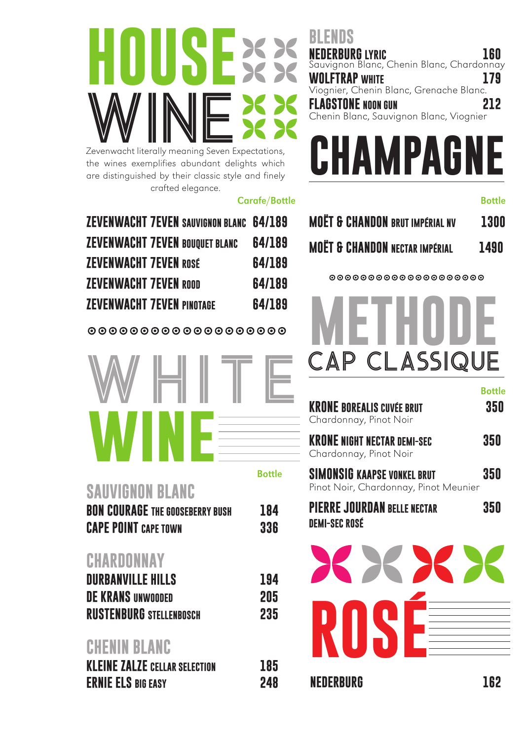

the wines exemplifies abundant delights which are distinguished by their classic style and finely crafted elegance.

#### Carafe/Bottle

| <b>ZEVENWACHT 7EVEN SAUVIGNON BLANC 64/189</b> |        |
|------------------------------------------------|--------|
| <b>ZEVENWACHT 7EVEN BOUQUET BLANC</b>          | 64/189 |
| <b>ZEVENWACHT 7EVEN ROSE</b>                   | 64/189 |
| <b>ZEVENWACHT 7EVEN ROOD</b>                   | 64/189 |
| <b>ZEVENWACHT 7EVEN PINOTAGE</b>               | 64/189 |
|                                                |        |

0000000000000000000



#### **SAUVIGNON BLANC**

| <b>BON COURAGE THE GOOSEBERRY BUSH</b> | 184 |
|----------------------------------------|-----|
| <b>CAPE POINT</b> CAPE TOWN            | 336 |

#### **CHARDONNAY**

| <b>DURBANVILLE HILLS</b>       | 194 |
|--------------------------------|-----|
| <b>DE KRANS UNWOODED</b>       | 205 |
| <b>RUSTENBURG STELLENBOSCH</b> | 235 |

### **CHENIN BLANC**

| <b>KLEINE ZALZE CELLAR SELECTION</b> | 185 |
|--------------------------------------|-----|
| <b>ERNIE ELS BIG EASY</b>            | 248 |

#### **BLENDS NEDERBURG LYRIC 160**

Sauvignon Blanc, Chenin Blanc, Chardonnay **WOLFTRAP WHITE 179** Viognier, Chenin Blanc, Grenache Blanc. **FLAGSTONE NOON GUN 212** Chenin Blanc, Sauvignon Blanc, Viognier



#### Bottle

|  | <b>MOËT &amp; CHANDON BRUT IMPÉRIAL NV</b> | <b>1300</b> |
|--|--------------------------------------------|-------------|
|  | <b>MOËT &amp; CHANDON NECTAR IMPÉRIAL</b>  | 1490        |

 ${\tt 0000000000000000000}$ 



|                                                                             | <b>Bottle</b> |
|-----------------------------------------------------------------------------|---------------|
| <b>KRONE BOREALIS CUVÉE BRUT</b><br>Chardonnay, Pinot Noir                  | 350           |
| <b>KRONE NIGHT NECTAR DEMI-SEC</b><br>Chardonnay, Pinot Noir                | 350           |
| <b>SIMONSIG KAAPSE VONKEL BRUT</b><br>Pinot Noir, Chardonnay, Pinot Meunier | 350           |
| <b>PIERRE JOURDAN BELLE NECTAR</b><br><b>DEMI-SEC ROSÉ</b>                  | 350           |
|                                                                             |               |

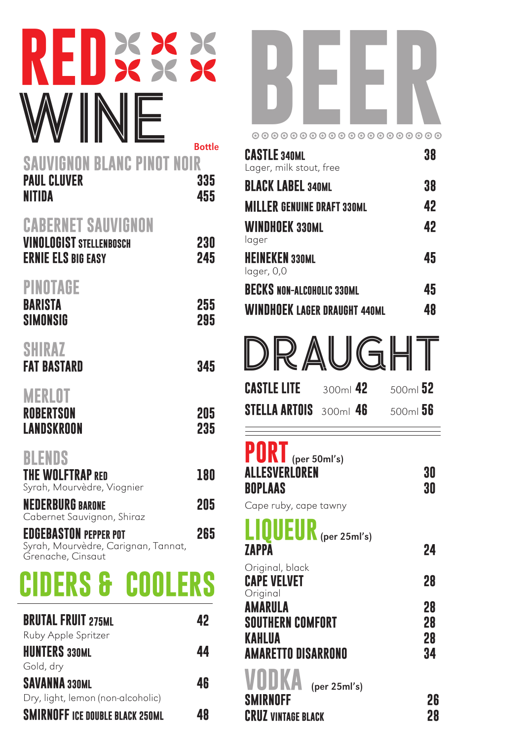### WINE **RED VIGNON BLANC PINOT NOIR** Bottle

### PAUL CLUVER 335 **NITIDA 455**

### **CABERNET SAUVIGNON**

| <b>VINOLOGIST STELLENBOSCH</b><br><b>ERNIE ELS BIG EASY</b>                              | 230<br>245 |
|------------------------------------------------------------------------------------------|------------|
| PINOTAGE<br>BARISTA<br>SIMONSIG                                                          | 255<br>295 |
| <b>SHIRAZ</b><br>FAT BASTARD                                                             | 345        |
| <b>MERLOT</b><br><b>ROBERTSON</b><br>LANDSKROON                                          | 205<br>235 |
| BLENDS<br><b>THE WOLFTRAP RED</b><br>Syrah, Mourvèdre, Viognier                          | 180        |
| <b>NEDERBURG BARONE</b><br>Cabernet Sauvignon, Shiraz                                    | 205        |
| <b>EDGEBASTON PEPPER POT</b><br>Syrah, Mourvèdre, Carignan, Tannat,<br>Grenache, Cinsaut | 265        |
|                                                                                          |            |

## **CIDERS & COOLERS**

| <b>BRUTAL FRUIT 275ML</b>              | 42 |
|----------------------------------------|----|
| Ruby Apple Spritzer                    |    |
| <b>HUNTERS 330ML</b>                   | 44 |
| Gold, dry                              |    |
| <b>SAVANNA 330ML</b>                   | 46 |
| Dry, light, lemon (non-alcoholic)      |    |
| <b>SMIRNOFF ICE DOUBLE BLACK 250ML</b> | 48 |



| <b>CASTLE 340ML</b><br>Lager, milk stout, free | 38 |
|------------------------------------------------|----|
| <b>BLACK LABEL 340ML</b>                       | 38 |
| <b>MILLER GENUINE DRAFT 330ML</b>              | 42 |
| <b>WINDHOEK 330ML</b><br>lager                 | 42 |
| <b>HEINEKEN 330ML</b><br>lager, 0,0            | 45 |
| <b>BECKS NON-ALCOHOLIC 330ML</b>               | 45 |
| <b>WINDHOEK LAGER DRAUGHT 440ML</b>            | 48 |

| DRAUGHT                       |            |           |
|-------------------------------|------------|-----------|
| <b>CASTLE LITE</b>            | $300ml$ 42 | $500m$ 52 |
| <b>STELLA ARTOIS</b> 300ml 46 |            | $500m$ 56 |
|                               |            |           |

#### **PORT** (per 50ml's) **ALLESVERLOREN 30 BOPLAAS 30**

Cape ruby, cape tawny

### **LIQUEUR**(per 25ml's)

**ZAPPA 24** Original, black **CAPE VELVET 28** Original **AMARULA 28 SOUTHERN COMFORT 28 KAHLUA 28 AMARETTO DISARRONO 34**

(per 25ml's) **SMIRNOFF 26 CRUZ VINTAGE BLACK 28**